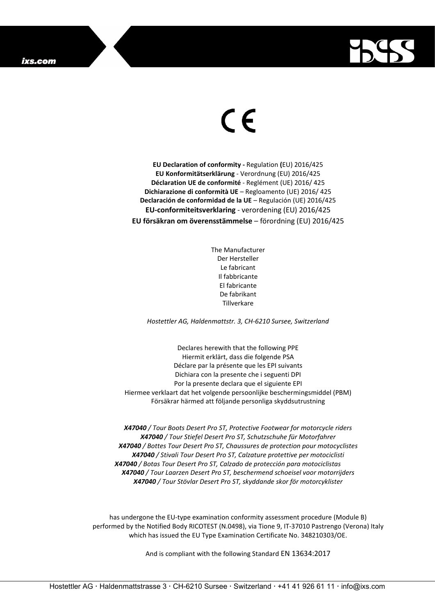

## $\epsilon$

**EU Declaration of conformity -** Regulation **(**EU) 2016/425 **EU Konformitätserklärung** - Verordnung (EU) 2016/425 **Déclaration UE de conformité** - Reglément (UE) 2016/ 425 **Dichiarazione di conformità UE** – Regloamento (UE) 2016/ 425 **Declaración de conformidad de la UE** – Regulación (UE) 2016/425 **EU-conformiteitsverklaring** - verordening (EU) 2016/425 **EU försäkran om överensstämmelse** – förordning (EU) 2016/425

> The Manufacturer Der Hersteller Le fabricant Il fabbricante El fabricante De fabrikant Tillverkare

*Hostettler AG, Haldenmattstr. 3, CH-6210 Sursee, Switzerland*

Declares herewith that the following PPE Hiermit erklärt, dass die folgende PSA Déclare par la présente que les EPI suivants Dichiara con la presente che i seguenti DPI Por la presente declara que el siguiente EPI Hiermee verklaart dat het volgende persoonlijke beschermingsmiddel (PBM) Försäkrar härmed att följande personliga skyddsutrustning

*X47040 / Tour Boots Desert Pro ST, Protective Footwear for motorcycle riders X47040 / Tour Stiefel Desert Pro ST, Schutzschuhe für Motorfahrer X47040 / Bottes Tour Desert Pro ST, Chaussures de protection pour motocyclistes X47040 / Stivali Tour Desert Pro ST, Calzature protettive per motociclisti X47040 / Botas Tour Desert Pro ST, Calzado de protección para motociclistas X47040 / Tour Laarzen Desert Pro ST, beschermend schoeisel voor motorrijders X47040 / Tour Stövlar Desert Pro ST, skyddande skor för motorcyklister*

has undergone the EU-type examination conformity assessment procedure (Module B) performed by the Notified Body RICOTEST (N.0498), via Tione 9, IT-37010 Pastrengo (Verona) Italy which has issued the EU Type Examination Certificate No. 348210303/OE.

And is compliant with the following Standard EN 13634:2017